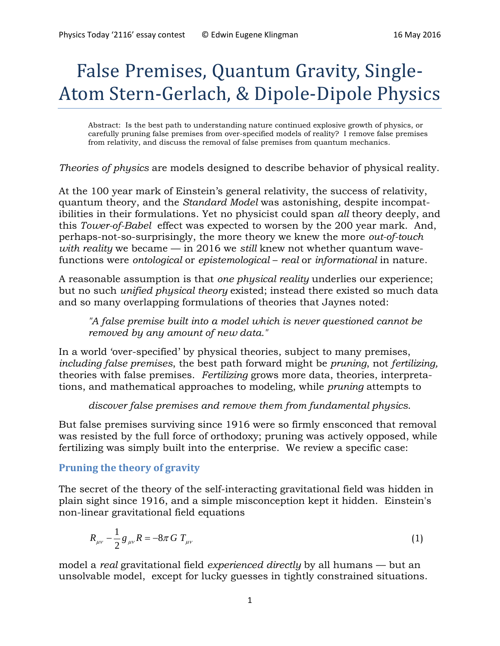# False Premises, Quantum Gravity, Single-Atom Stern-Gerlach, & Dipole-Dipole Physics

Abstract: Is the best path to understanding nature continued explosive growth of physics, or carefully pruning false premises from over-specified models of reality? I remove false premises from relativity, and discuss the removal of false premises from quantum mechanics.

*Theories of physics* are models designed to describe behavior of physical reality.

At the 100 year mark of Einstein's general relativity, the success of relativity, quantum theory, and the *Standard Model* was astonishing, despite incompatibilities in their formulations. Yet no physicist could span *all* theory deeply, and this *Tower-of-Babel* effect was expected to worsen by the 200 year mark. And, perhaps-not-so-surprisingly, the more theory we knew the more *out-of-touch with reality* we became — in 2016 we *still* knew not whether quantum wavefunctions were *ontological* or *epistemological* – *real* or *informational* in nature.

A reasonable assumption is that *one physical reality* underlies our experience; but no such *unified physical theory* existed; instead there existed so much data and so many overlapping formulations of theories that Jaynes noted:

*"A false premise built into a model which is never questioned cannot be removed by any amount of new data."*

In a world 'over-specified' by physical theories, subject to many premises, *including false premises*, the best path forward might be *pruning*, not *fertilizing,* theories with false premises. *Fertilizing* grows more data, theories, interpretations, and mathematical approaches to modeling, while *pruning* attempts to

*discover false premises and remove them from fundamental physics*.

But false premises surviving since 1916 were so firmly ensconced that removal was resisted by the full force of orthodoxy; pruning was actively opposed, while fertilizing was simply built into the enterprise. We review a specific case:

# **Pruning the theory of gravity**

The secret of the theory of the self-interacting gravitational field was hidden in plain sight since 1916, and a simple misconception kept it hidden. Einstein's non-linear gravitational field equations

$$
R_{\mu\nu} - \frac{1}{2} g_{\mu\nu} R = -8\pi G T_{\mu\nu}
$$
 (1)

model a *real* gravitational field *experienced directly* by all humans — but an unsolvable model, except for lucky guesses in tightly constrained situations.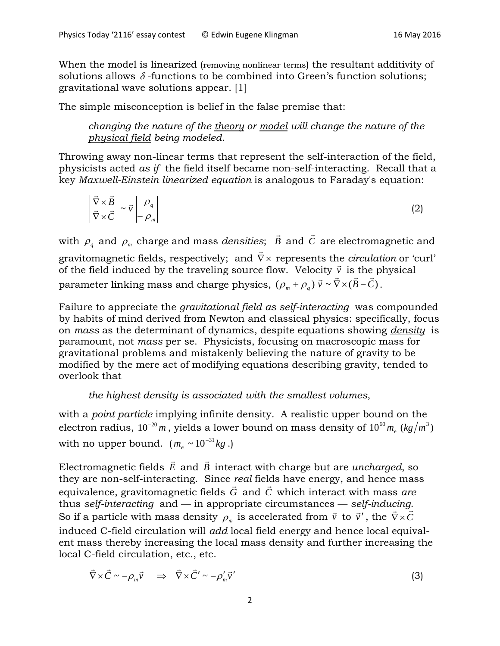When the model is linearized (removing nonlinear terms) the resultant additivity of solutions allows  $\delta$ -functions to be combined into Green's function solutions; gravitational wave solutions appear. [1]

The simple misconception is belief in the false premise that:

*changing the nature of the theory or model will change the nature of the physical field being modeled.* 

Throwing away non-linear terms that represent the self-interaction of the field, physicists acted *as if* the field itself became non-self-interacting. Recall that a key *Maxwell-Einstein linearized equation* is analogous to Faraday's equation:

$$
\left| \vec{\nabla} \times \vec{B} \right| \sim \vec{v} \left| \rho_q \right|
$$
  

$$
\left| \vec{\nabla} \times \vec{C} \right| \sim \vec{v} \left| \rho_q \right|
$$
 (2)

with  $\rho_{q}^{\parallel}$  and  $\rho_{m}^{\parallel}$  charge and mass *densities*;  $\vec{B}$  and  $\vec{C}$  are electromagnetic and gravitomagnetic fields, respectively; and ∇ × represents the *circulation* or 'curl' graviton agreed fields, respectively, and  $\sqrt{x}$  represents the elements of  $\bar{c}$  of the field induced by the traveling source flow. Velocity  $\bar{v}$  is the physical parameter linking mass and charge physics,  $(\rho_m + \rho_q) \vec{v} \sim \vec{\nabla} \times (\vec{B} - \vec{C})$ .

Failure to appreciate the *gravitational field as self-interacting* was compounded by habits of mind derived from Newton and classical physics: specifically, focus on *mass* as the determinant of dynamics, despite equations showing *density* is paramount, not *mass* per se. Physicists, focusing on macroscopic mass for gravitational problems and mistakenly believing the nature of gravity to be modified by the mere act of modifying equations describing gravity, tended to overlook that

*the highest density is associated with the smallest volumes*,

with a *point particle* implying infinite density. A realistic upper bound on the electron radius,  $10^{-20}$  m, yields a lower bound on mass density of  $10^{60}$  m<sub>e</sub>  $(kg/m^3)$ with no upper bound. ( $m_e \sim 10^{-31} kg$ .)

Electromagnetic fields  $\vec{E}$  and  $\vec{B}$  interact with charge but are *uncharged*, so they are non-self-interacting. Since *real* fields have energy, and hence mass equivalence, gravitomagnetic fields *G* and *<sup>C</sup>* which interact with mass *are* thus *self-interacting* and — in appropriate circumstances — *self-inducing*. So if a particle with mass density  $\rho_m$  is accelerated from  $\vec{v}$  to  $\vec{v}'$ , the  $\vec{\nabla} \times \vec{C}$ induced C-field circulation will *add* local field energy and hence local equivalent mass thereby increasing the local mass density and further increasing the local C-field circulation, etc., etc.

$$
\vec{\nabla} \times \vec{C} \sim -\rho_m \vec{v} \quad \Rightarrow \quad \vec{\nabla} \times \vec{C}' \sim -\rho'_m \vec{v}' \tag{3}
$$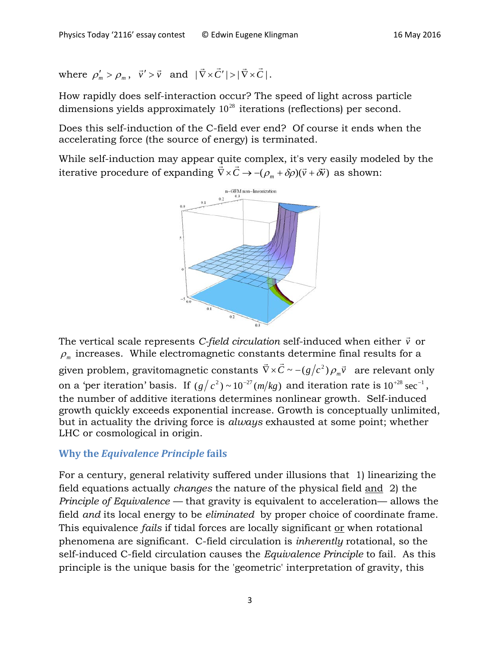where  $\rho'_m > \rho_m$ ,  $\vec{v}' > \vec{v}$  and  $|\vec{\nabla} \times \vec{C}'| > |\vec{\nabla} \times \vec{C}|$ .

How rapidly does self-interaction occur? The speed of light across particle dimensions yields approximately  $10^{28}$  iterations (reflections) per second.

Does this self-induction of the C-field ever end? Of course it ends when the accelerating force (the source of energy) is terminated.

While self-induction may appear quite complex, it's very easily modeled by the while sch-induction may appear quite complex, it's very easily mode<br>iterative procedure of expanding  $\vec{\nabla} \times \vec{C} \rightarrow -(\rho_m + \delta \rho)(\vec{v} + \delta \vec{v})$  as shown:



The vertical scale represents *C-field circulation* self-induced when either *v* or  $\rho_m$  increases. While electromagnetic constants determine final results for a given problem, gravitomagnetic constants  $\nabla \times \pmb{C} \thicksim -(g/c^2)\, \rho_{\scriptscriptstyle m} \vec{v}$  $\vec{\theta}$   $\vec{\theta}$   $(12)^{2}$  $\vec{\nabla} \times \vec{C} \sim -(g/c^2) \rho_m \vec{v}$  are relevant only on a 'per iteration' basis. If  $(g/c^2) \sim 10^{-27} (m/kg)$  and iteration rate is  $10^{+28} \text{ sec}^{-1}$ , the number of additive iterations determines nonlinear growth. Self-induced growth quickly exceeds exponential increase. Growth is conceptually unlimited, but in actuality the driving force is *always* exhausted at some point; whether LHC or cosmological in origin.

# **Why the** *Equivalence Principle* **fails**

For a century, general relativity suffered under illusions that 1) linearizing the field equations actually *changes* the nature of the physical field and 2) the *Principle of Equivalence* — that gravity is equivalent to acceleration— allows the field *and* its local energy to be *eliminated* by proper choice of coordinate frame. This equivalence *fails* if tidal forces are locally significant or when rotational phenomena are significant. C-field circulation is *inherently* rotational, so the self-induced C-field circulation causes the *Equivalence Principle* to fail. As this principle is the unique basis for the 'geometric' interpretation of gravity, this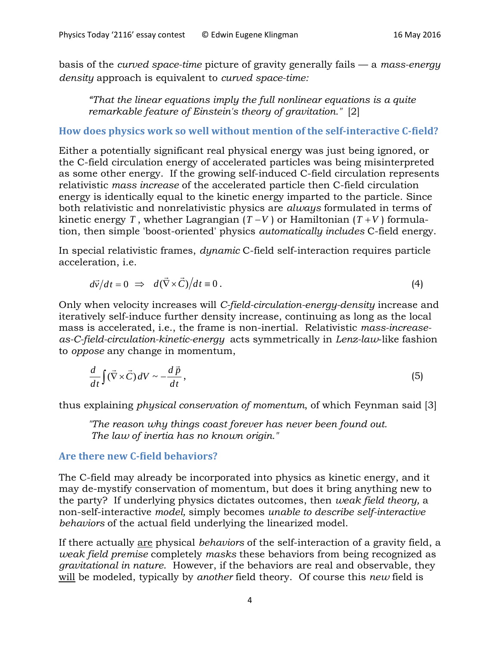basis of the *curved space-time* picture of gravity generally fails — a *mass-energy density* approach is equivalent to *curved space-time:*

*"That the linear equations imply the full nonlinear equations is a quite remarkable feature of Einstein's theory of gravitation."* [2]

**How does physics work so well without mention of the self-interactive C-field?**

Either a potentially significant real physical energy was just being ignored, or the C-field circulation energy of accelerated particles was being misinterpreted as some other energy. If the growing self-induced C-field circulation represents relativistic *mass increase* of the accelerated particle then C-field circulation energy is identically equal to the kinetic energy imparted to the particle. Since both relativistic and nonrelativistic physics are *always* formulated in terms of kinetic energy *T*, whether Lagrangian  $(T - V)$  or Hamiltonian  $(T + V)$  formulation, then simple 'boost-oriented' physics *automatically includes* C-field energy.

In special relativistic frames, *dynamic* C-field self-interaction requires particle acceleration, i.e.

$$
d\vec{v}/dt = 0 \implies d(\vec{\nabla} \times \vec{C})/dt = 0.
$$
 (4)

Only when velocity increases will *C-field-circulation-energy-density* increase and iteratively self-induce further density increase, continuing as long as the local mass is accelerated, i.e., the frame is non-inertial. Relativistic *mass-increaseas-C-field-circulation-kinetic-energy* acts symmetrically in *Lenz-law*-like fashion to *oppose* any change in momentum,

$$
\frac{d}{dt}\int (\vec{\nabla} \times \vec{C}) dV \sim -\frac{d\vec{p}}{dt},\tag{5}
$$

thus explaining *physical conservation of momentum*, of which Feynman said [3]

*"The reason why things coast forever has never been found out. The law of inertia has no known origin."*

## **Are there new C-field behaviors?**

The C-field may already be incorporated into physics as kinetic energy, and it may de-mystify conservation of momentum, but does it bring anything new to the party? If underlying physics dictates outcomes, then *weak field theory,* a non-self-interactive *model,* simply becomes *unable to describe self-interactive behaviors* of the actual field underlying the linearized model.

If there actually are physical *behaviors* of the self-interaction of a gravity field, a *weak field premise* completely *masks* these behaviors from being recognized as *gravitational in nature*. However, if the behaviors are real and observable, they will be modeled, typically by *another* field theory. Of course this *new* field is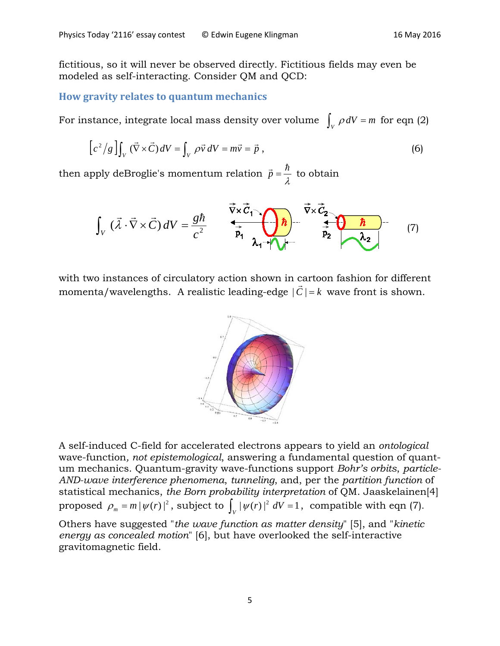fictitious, so it will never be observed directly. Fictitious fields may even be modeled as self-interacting. Consider QM and QCD:

#### **How gravity relates to quantum mechanics**

For instance, integrate local mass density over volume  $\int_{V} \rho dV = m$  for eqn (2)

$$
\left[c^{2}/g\right]\int_{V}(\vec{\nabla}\times\vec{C})dV=\int_{V}\rho\vec{v}dV=m\vec{v}=\vec{p},\qquad(6)
$$

then apply deBroglie's momentum relation  $\vec{p} = \frac{n}{\lambda}$  $\vec{p} = \frac{\hbar}{\hat{p}}$  to obtain

$$
\int_{V} (\vec{\lambda} \cdot \vec{\nabla} \times \vec{C}) dV = \frac{g\hbar}{c^{2}} \qquad \frac{\vec{\nabla} \times \vec{C}_{1}}{\vec{p}_{1}} \underbrace{\left(\frac{\vec{\nabla} \times \vec{C}_{2}}{\vec{p}_{1}}\right)}_{\lambda_{1} + \lambda_{1} + \lambda_{1}} \frac{\vec{\nabla} \times \vec{C}_{2}}{\vec{p}_{2}} \underbrace{\left(\frac{\hbar}{\lambda_{2}}\right)}_{\lambda_{2}} \tag{7}
$$

with two instances of circulatory action shown in cartoon fashion for different momenta/wavelengths. A realistic leading-edge  $|\vec{C}| = k$  wave front is shown.



A self-induced C-field for accelerated electrons appears to yield an *ontological* wave-function*, not epistemological*, answering a fundamental question of quantum mechanics. Quantum-gravity wave-functions support *Bohr's orbits*, *particle-AND-wave interference phenomena*, *tunneling*, and, per the *partition function* of statistical mechanics, *the Born probability interpretation* of QM. Jaaskelainen[4] proposed  $\rho_m = m |\psi(r)|^2$ , subject to  $\int_V |\psi(r)|^2 dV = 1$ , compatible with eqn (7).

Others have suggested "*the wave function as matter density*" [5], and "*kinetic energy as concealed motion*" [6], but have overlooked the self-interactive gravitomagnetic field.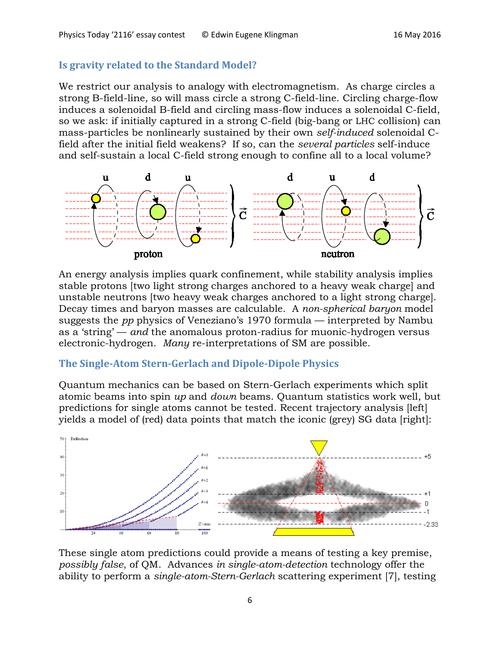#### **Is gravity related to the Standard Model?**

We restrict our analysis to analogy with electromagnetism. As charge circles a strong B-field-line, so will mass circle a strong C-field-line. Circling charge-flow induces a solenoidal B-field and circling mass-flow induces a solenoidal C-field, so we ask: if initially captured in a strong C-field (big-bang or LHC collision) can mass-particles be nonlinearly sustained by their own *self-induced* solenoidal Cfield after the initial field weakens? If so, can the *several particles* self-induce and self-sustain a local C-field strong enough to confine all to a local volume?



An energy analysis implies quark confinement, while stability analysis implies stable protons [two light strong charges anchored to a heavy weak charge] and unstable neutrons [two heavy weak charges anchored to a light strong charge]. Decay times and baryon masses are calculable. A *non-spherical baryon* model suggests the *pp* physics of Veneziano's 1970 formula — interpreted by Nambu as a 'string' — *and* the anomalous proton-radius for muonic-hydrogen versus electronic-hydrogen. *Many* re-interpretations of SM are possible.

## **The Single-Atom Stern-Gerlach and Dipole-Dipole Physics**

Quantum mechanics can be based on Stern-Gerlach experiments which split atomic beams into spin *up* and *down* beams. Quantum statistics work well, but predictions for single atoms cannot be tested. Recent trajectory analysis [left] yields a model of (red) data points that match the iconic (grey) SG data [right]:



These single atom predictions could provide a means of testing a key premise, *possibly false*, of QM. Advances *in single-atom-detection* technology offer the ability to perform a *single-atom-Stern-Gerlach* scattering experiment [7], testing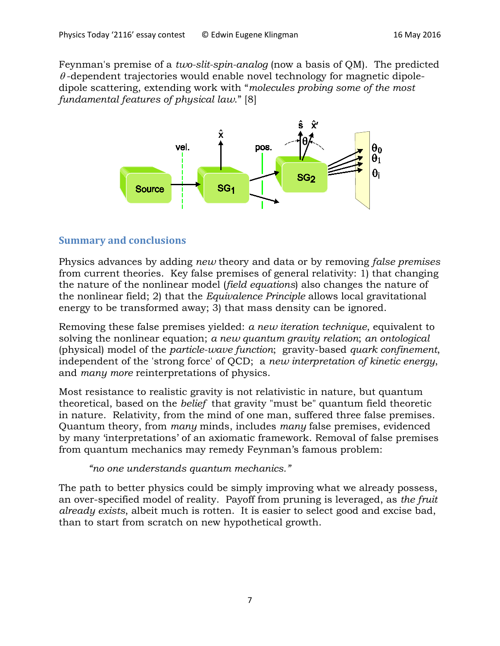Feynman's premise of a *two-slit-spin-analog* (now a basis of QM). The predicted  $\theta$ -dependent trajectories would enable novel technology for magnetic dipoledipole scattering, extending work with "*molecules probing some of the most fundamental features of physical law*." [8]



# **Summary and conclusions**

Physics advances by adding *new* theory and data or by removing *false premises* from current theories. Key false premises of general relativity: 1) that changing the nature of the nonlinear model (*field equations*) also changes the nature of the nonlinear field; 2) that the *Equivalence Principle* allows local gravitational energy to be transformed away; 3) that mass density can be ignored.

Removing these false premises yielded: *a new iteration technique*, equivalent to solving the nonlinear equation; *a new quantum gravity relation*; *an ontological* (physical) model of the *particle-wave function*; gravity-based *quark confinement*, independent of the 'strong force' of QCD; a *new interpretation of kinetic energy*, and *many more* reinterpretations of physics.

Most resistance to realistic gravity is not relativistic in nature, but quantum theoretical, based on the *belief* that gravity "must be" quantum field theoretic in nature. Relativity, from the mind of one man, suffered three false premises. Quantum theory, from *many* minds, includes *many* false premises, evidenced by many 'interpretations' of an axiomatic framework. Removal of false premises from quantum mechanics may remedy Feynman's famous problem:

*"no one understands quantum mechanics."*

The path to better physics could be simply improving what we already possess, an over-specified model of reality. Payoff from pruning is leveraged, as *the fruit already exists*, albeit much is rotten. It is easier to select good and excise bad, than to start from scratch on new hypothetical growth.